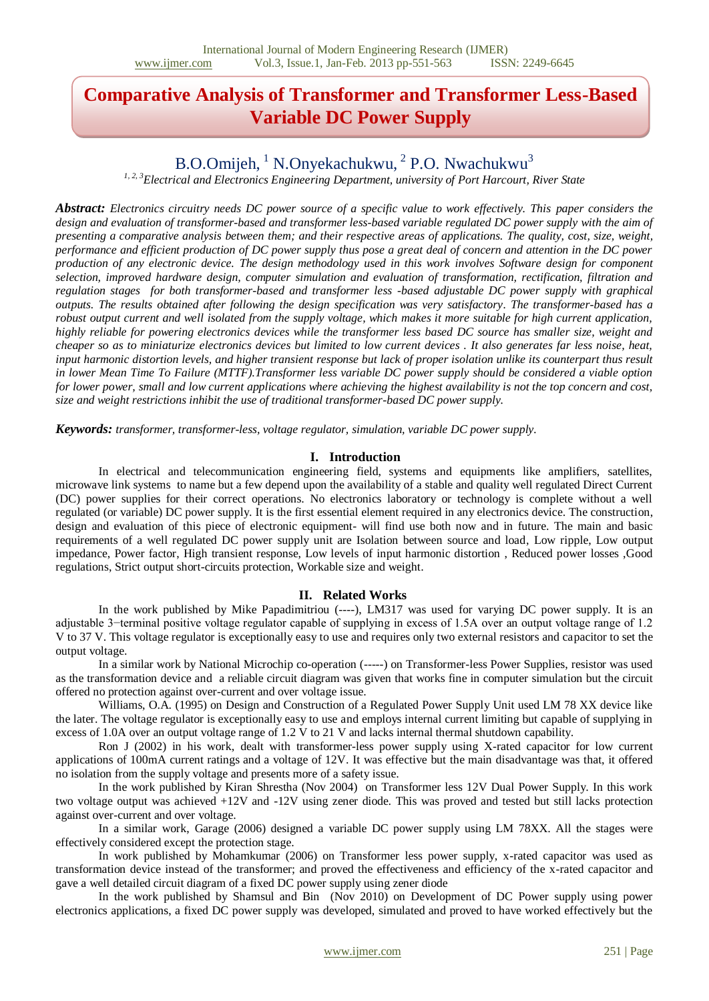# **Comparative Analysis of Transformer and Transformer Less-Based Variable DC Power Supply**

# B.O.Omijeh, <sup>1</sup> N.Onyekachukwu, <sup>2</sup> P.O. Nwachukwu<sup>3</sup>

*1, 2, 3Electrical and Electronics Engineering Department, university of Port Harcourt, River State*

*Abstract: Electronics circuitry needs DC power source of a specific value to work effectively. This paper considers the design and evaluation of transformer-based and transformer less-based variable regulated DC power supply with the aim of presenting a comparative analysis between them; and their respective areas of applications. The quality, cost, size, weight, performance and efficient production of DC power supply thus pose a great deal of concern and attention in the DC power production of any electronic device. The design methodology used in this work involves Software design for component selection, improved hardware design, computer simulation and evaluation of transformation, rectification, filtration and regulation stages for both transformer-based and transformer less -based adjustable DC power supply with graphical outputs. The results obtained after following the design specification was very satisfactory. The transformer-based has a robust output current and well isolated from the supply voltage, which makes it more suitable for high current application, highly reliable for powering electronics devices while the transformer less based DC source has smaller size, weight and cheaper so as to miniaturize electronics devices but limited to low current devices . It also generates far less noise, heat, input harmonic distortion levels, and higher transient response but lack of proper isolation unlike its counterpart thus result in lower Mean Time To Failure (MTTF).Transformer less variable DC power supply should be considered a viable option for lower power, small and low current applications where achieving the highest availability is not the top concern and cost, size and weight restrictions inhibit the use of traditional transformer-based DC power supply.*

*Keywords: transformer, transformer-less, voltage regulator, simulation, variable DC power supply.*

#### **I. Introduction**

In electrical and telecommunication engineering field, systems and equipments like amplifiers, satellites, microwave link systems to name but a few depend upon the availability of a stable and quality well regulated Direct Current (DC) power supplies for their correct operations. No electronics laboratory or technology is complete without a well regulated (or variable) DC power supply. It is the first essential element required in any electronics device. The construction, design and evaluation of this piece of electronic equipment- will find use both now and in future. The main and basic requirements of a well regulated DC power supply unit are Isolation between source and load, Low ripple, Low output impedance, Power factor, High transient response, Low levels of input harmonic distortion , Reduced power losses ,Good regulations, Strict output short-circuits protection, Workable size and weight.

#### **II. Related Works**

In the work published by Mike Papadimitriou (----), LM317 was used for varying DC power supply. It is an adjustable 3−terminal positive voltage regulator capable of supplying in excess of 1.5A over an output voltage range of 1.2 V to 37 V. This voltage regulator is exceptionally easy to use and requires only two external resistors and capacitor to set the output voltage.

In a similar work by National Microchip co-operation (-----) on Transformer-less Power Supplies, resistor was used as the transformation device and a reliable circuit diagram was given that works fine in computer simulation but the circuit offered no protection against over-current and over voltage issue.

Williams, O.A. (1995) on Design and Construction of a Regulated Power Supply Unit used LM 78 XX device like the later. The voltage regulator is exceptionally easy to use and employs internal current limiting but capable of supplying in excess of 1.0A over an output voltage range of 1.2 V to 21 V and lacks internal thermal shutdown capability.

Ron J (2002) in his work, dealt with transformer-less power supply using X-rated capacitor for low current applications of 100mA current ratings and a voltage of 12V. It was effective but the main disadvantage was that, it offered no isolation from the supply voltage and presents more of a safety issue.

In the work published by Kiran Shrestha (Nov 2004) on Transformer less 12V Dual Power Supply. In this work two voltage output was achieved +12V and -12V using zener diode. This was proved and tested but still lacks protection against over-current and over voltage.

In a similar work, Garage (2006) designed a variable DC power supply using LM 78XX. All the stages were effectively considered except the protection stage.

In work published by Mohamkumar (2006) on Transformer less power supply, x-rated capacitor was used as transformation device instead of the transformer; and proved the effectiveness and efficiency of the x-rated capacitor and gave a well detailed circuit diagram of a fixed DC power supply using zener diode

In the work published by Shamsul and Bin (Nov 2010) on Development of DC Power supply using power electronics applications, a fixed DC power supply was developed, simulated and proved to have worked effectively but the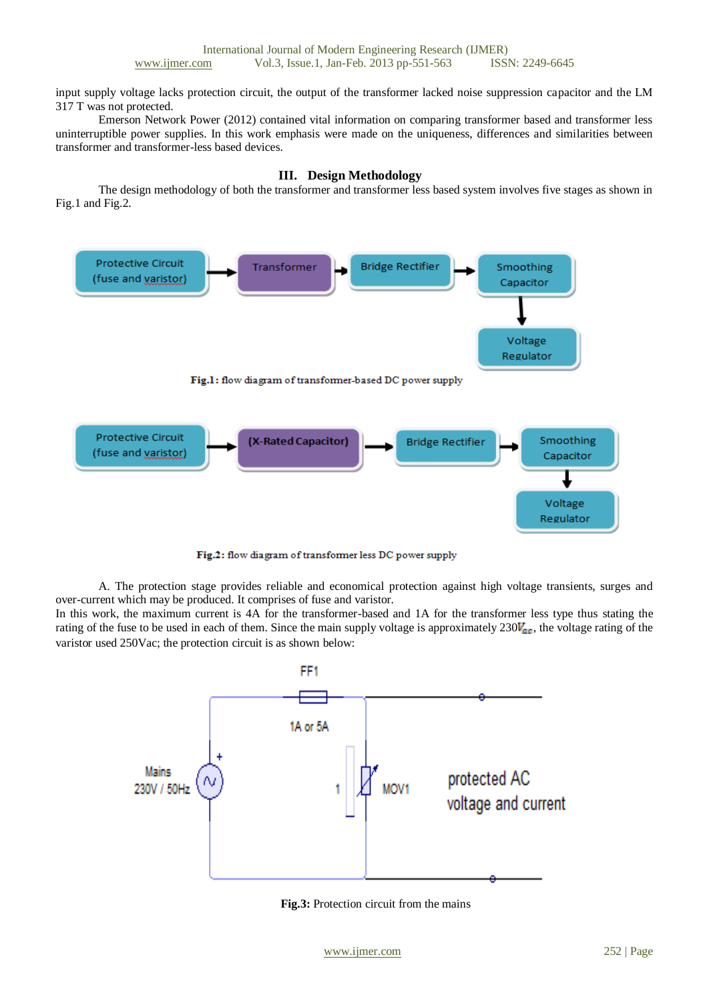input supply voltage lacks protection circuit, the output of the transformer lacked noise suppression capacitor and the LM 317 T was not protected.

Emerson Network Power (2012) contained vital information on comparing transformer based and transformer less uninterruptible power supplies. In this work emphasis were made on the uniqueness, differences and similarities between transformer and transformer-less based devices.

### **III. Design Methodology**

The design methodology of both the transformer and transformer less based system involves five stages as shown in Fig.1 and Fig.2.



Fig.2: flow diagram of transformer less DC power supply

A. The protection stage provides reliable and economical protection against high voltage transients, surges and over-current which may be produced. It comprises of fuse and varistor.

In this work, the maximum current is 4A for the transformer-based and 1A for the transformer less type thus stating the rating of the fuse to be used in each of them. Since the main supply voltage is approximately  $230V_{ac}$ , the voltage rating of the varistor used 250Vac; the protection circuit is as shown below:



**Fig.3:** Protection circuit from the mains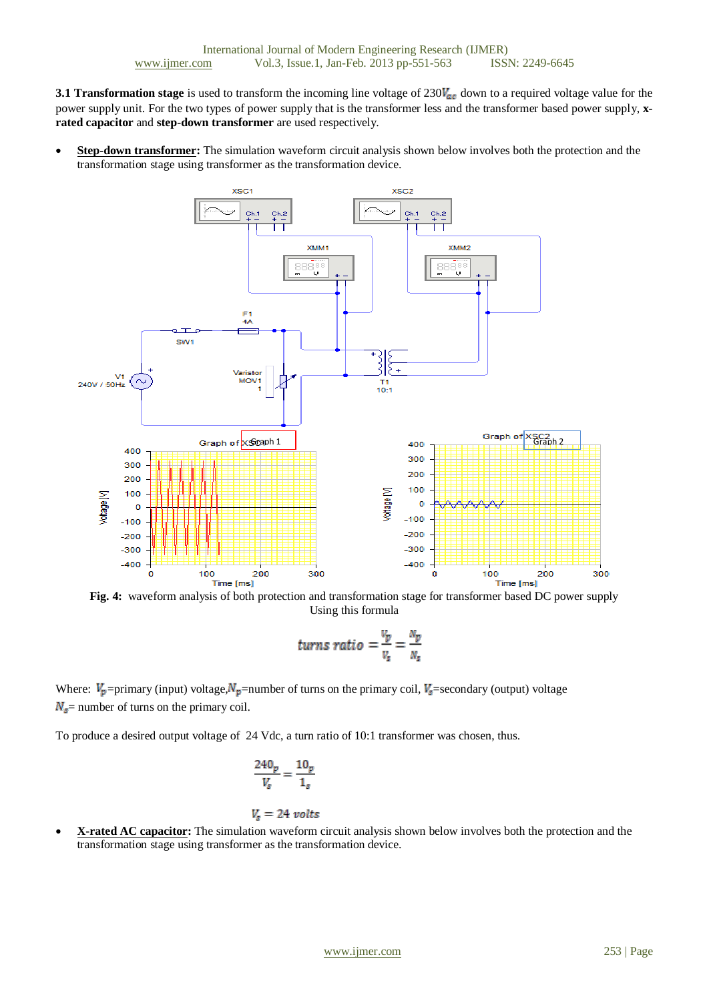**3.1 Transformation stage** is used to transform the incoming line voltage of  $230V_{ac}$  down to a required voltage value for the power supply unit. For the two types of power supply that is the transformer less and the transformer based power supply, **xrated capacitor** and **step-down transformer** are used respectively.

 **Step-down transformer:** The simulation waveform circuit analysis shown below involves both the protection and the transformation stage using transformer as the transformation device.



**Fig. 4:** waveform analysis of both protection and transformation stage for transformer based DC power supply Using this formula

turns ratio 
$$
=\frac{v_p}{v_s} = \frac{N_p}{N_s}
$$

Where:  $V_p$  =primary (input) voltage,  $N_p$  =number of turns on the primary coil,  $V_g$  =secondary (output) voltage  $N_s$  = number of turns on the primary coil.

To produce a desired output voltage of 24 Vdc, a turn ratio of 10:1 transformer was chosen, thus.

$$
\frac{240_p}{V_s} = \frac{10_p}{1_s}
$$

### $V_s = 24$  volts

 **X-rated AC capacitor:** The simulation waveform circuit analysis shown below involves both the protection and the transformation stage using transformer as the transformation device.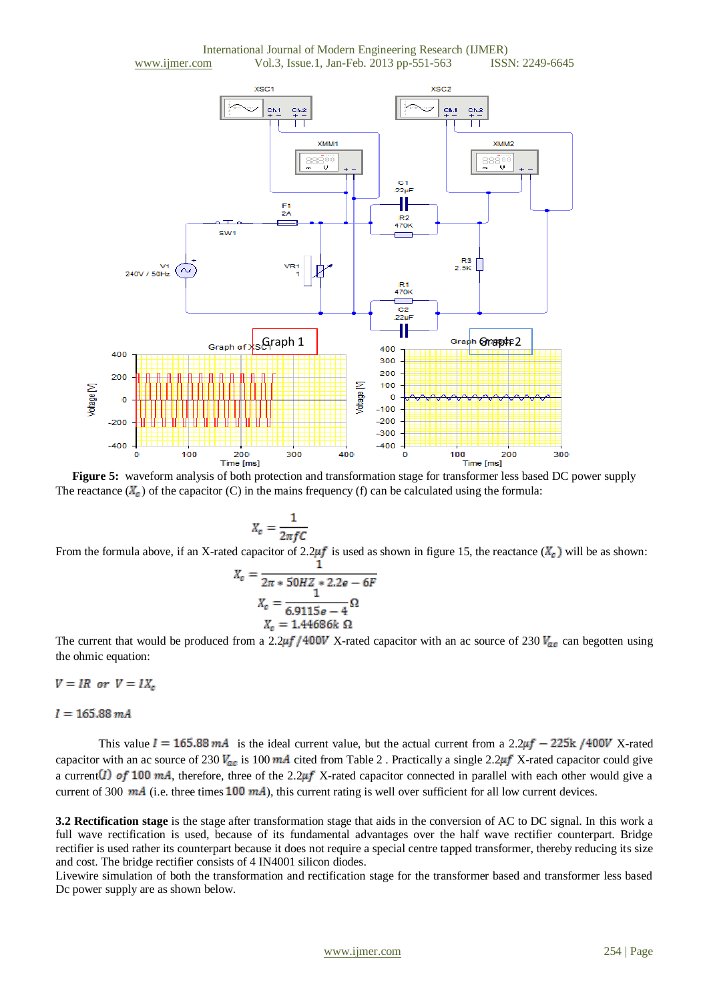



**Figure 5:** waveform analysis of both protection and transformation stage for transformer less based DC power supply The reactance  $(X_{\epsilon})$  of the capacitor (C) in the mains frequency (f) can be calculated using the formula:

$$
X_c = \frac{1}{2\pi fC}
$$

From the formula above, if an X-rated capacitor of 2.2 $\mu f$  is used as shown in figure 15, the reactance  $(X_{\sigma})$  will be as shown:

$$
X_c = \frac{1}{2\pi * 50HZ * 2.2e - 6F}
$$

$$
X_c = \frac{1}{6.9115e - 4} \Omega
$$

$$
X_c = 1.44686k \Omega
$$

The current that would be produced from a 2.2 $\mu$ f/400V X-rated capacitor with an ac source of 230  $V_{ac}$  can begotten using the ohmic equation:

$$
V = IR \ \ or \ \ V = IX_c
$$

 $I = 165.88 \, mA$ 

This value  $I = 165.88 \text{ mA}$  is the ideal current value, but the actual current from a 2.2 $\mu$ f - 225k/400V X-rated capacitor with an ac source of 230  $V_{ac}$  is 100 mA cited from Table 2. Practically a single 2.2 $\mu$ f X-rated capacitor could give a current (1) of 100 mA, therefore, three of the 2.2 $\mu$ f X-rated capacitor connected in parallel with each other would give a current of 300  $mA$  (i.e. three times 100  $mA$ ), this current rating is well over sufficient for all low current devices.

**3.2 Rectification stage** is the stage after transformation stage that aids in the conversion of AC to DC signal. In this work a full wave rectification is used, because of its fundamental advantages over the half wave rectifier counterpart. Bridge rectifier is used rather its counterpart because it does not require a special centre tapped transformer, thereby reducing its size and cost. The bridge rectifier consists of 4 IN4001 silicon diodes.

Livewire simulation of both the transformation and rectification stage for the transformer based and transformer less based Dc power supply are as shown below.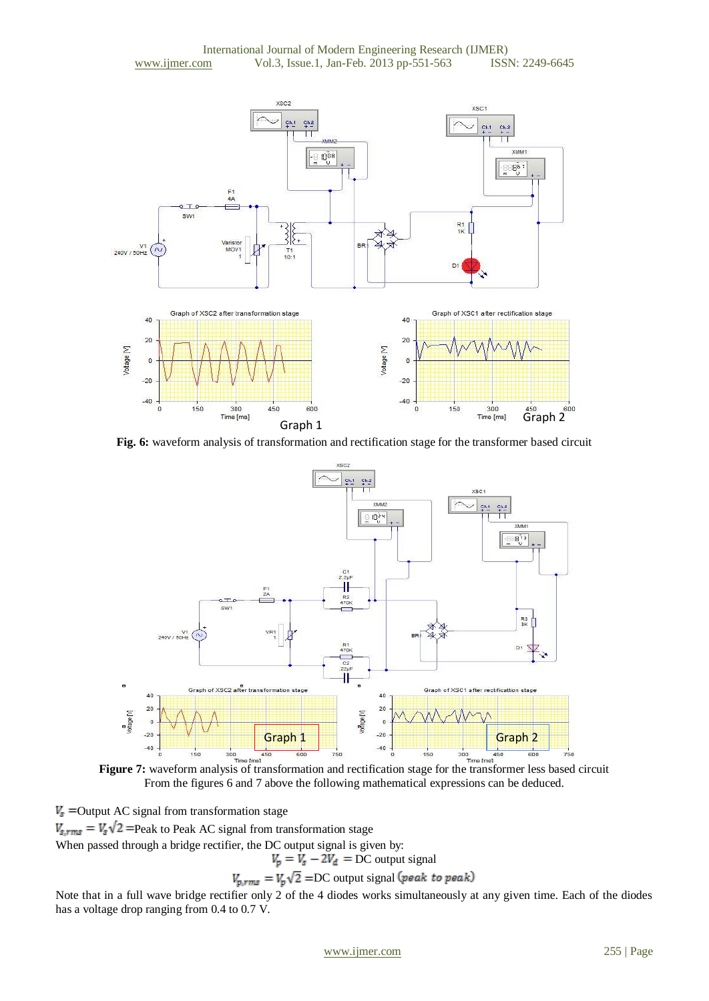

**Fig. 6:** waveform analysis of transformation and rectification stage for the transformer based circuit



From the figures 6 and 7 above the following mathematical expressions can be deduced.

 $V_s$  = Output AC signal from transformation stage

 $V_{s,rms} = V_s \sqrt{2}$  = Peak to Peak AC signal from transformation stage

When passed through a bridge rectifier, the DC output signal is given by:

DC output signal

 $V_{p,rms} = V_p \sqrt{2} = DC$  output signal (peak to peak)

Note that in a full wave bridge rectifier only 2 of the 4 diodes works simultaneously at any given time. Each of the diodes has a voltage drop ranging from 0.4 to 0.7 V.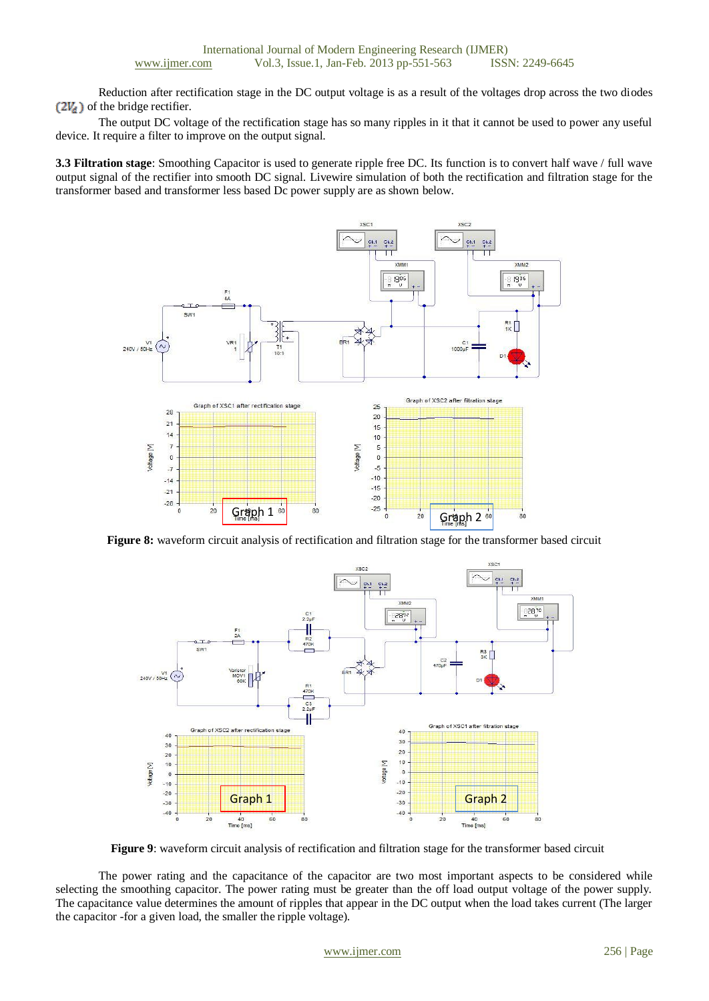Reduction after rectification stage in the DC output voltage is as a result of the voltages drop across the two diodes  $(2V_d)$  of the bridge rectifier.

The output DC voltage of the rectification stage has so many ripples in it that it cannot be used to power any useful device. It require a filter to improve on the output signal.

**3.3 Filtration stage**: Smoothing Capacitor is used to generate ripple free DC. Its function is to convert half wave / full wave output signal of the rectifier into smooth DC signal. Livewire simulation of both the rectification and filtration stage for the transformer based and transformer less based Dc power supply are as shown below.



**Figure 8:** waveform circuit analysis of rectification and filtration stage for the transformer based circuit



**Figure 9**: waveform circuit analysis of rectification and filtration stage for the transformer based circuit

The power rating and the capacitance of the capacitor are two most important aspects to be considered while selecting the smoothing capacitor. The power rating must be greater than the off load output voltage of the power supply. The capacitance value determines the amount of ripples that appear in the DC output when the load takes current (The larger the capacitor -for a given load, the smaller the ripple voltage).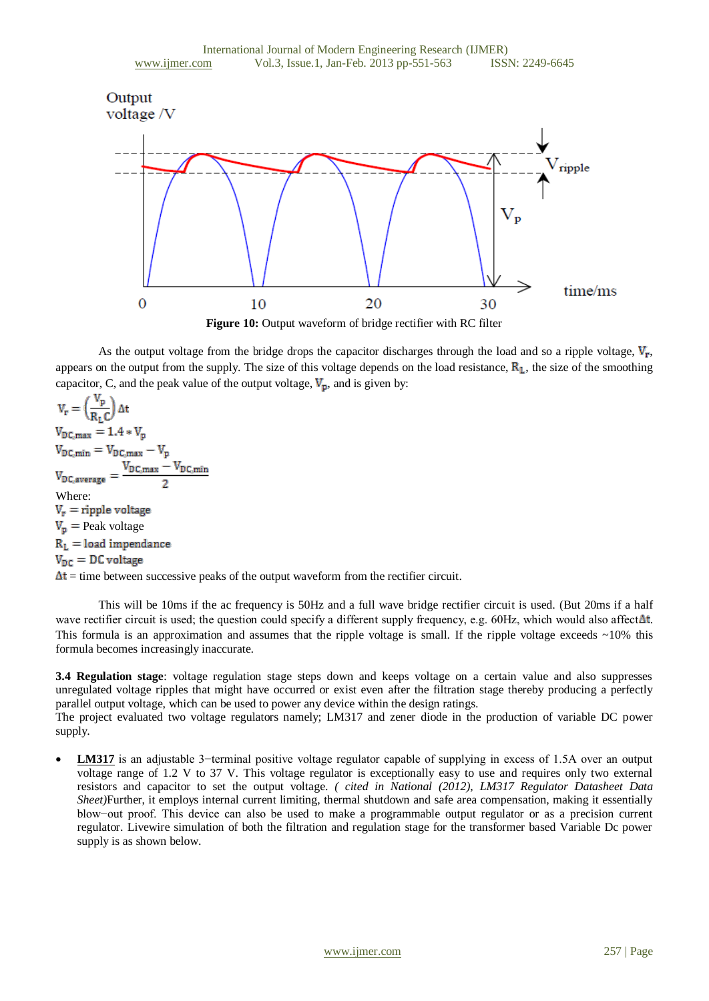

As the output voltage from the bridge drops the capacitor discharges through the load and so a ripple voltage,  $V_r$ , appears on the output from the supply. The size of this voltage depends on the load resistance,  $\mathbb{R}_L$ , the size of the smoothing capacitor, C, and the peak value of the output voltage,  $V_p$ , and is given by:

 $V_r = \left(\frac{V_p}{R_r C}\right)$  $V_{DC,max} = 1.4 * V_p$  $V_{DC,min} = V_{DC,max} - V_p$ <br>  $V_{DC,average} = \frac{V_{DC,max} - V_{DC,min}}{2}$ Where:  $V_r$  = ripple voltage  $V_p$  = Peak voltage  $R_L =$  load impendance  $V_{DC} = DC$  voltage  $\Delta t$  = time between successive peaks of the output waveform from the rectifier circuit.

This will be 10ms if the ac frequency is 50Hz and a full wave bridge rectifier circuit is used. (But 20ms if a half wave rectifier circuit is used; the question could specify a different supply frequency, e.g. 60Hz, which would also affect  $\Delta t$ . This formula is an approximation and assumes that the ripple voltage is small. If the ripple voltage exceeds  $\sim$ 10% this formula becomes increasingly inaccurate*.*

**3.4 Regulation stage**: voltage regulation stage steps down and keeps voltage on a certain value and also suppresses unregulated voltage ripples that might have occurred or exist even after the filtration stage thereby producing a perfectly parallel output voltage, which can be used to power any device within the design ratings.

The project evaluated two voltage regulators namely; LM317 and zener diode in the production of variable DC power supply.

 **LM317** is an adjustable 3−terminal positive voltage regulator capable of supplying in excess of 1.5A over an output voltage range of 1.2 V to 37 V. This voltage regulator is exceptionally easy to use and requires only two external resistors and capacitor to set the output voltage. *( cited in National (2012), LM317 Regulator Datasheet Data Sheet)*Further, it employs internal current limiting, thermal shutdown and safe area compensation, making it essentially blow−out proof. This device can also be used to make a programmable output regulator or as a precision current regulator. Livewire simulation of both the filtration and regulation stage for the transformer based Variable Dc power supply is as shown below.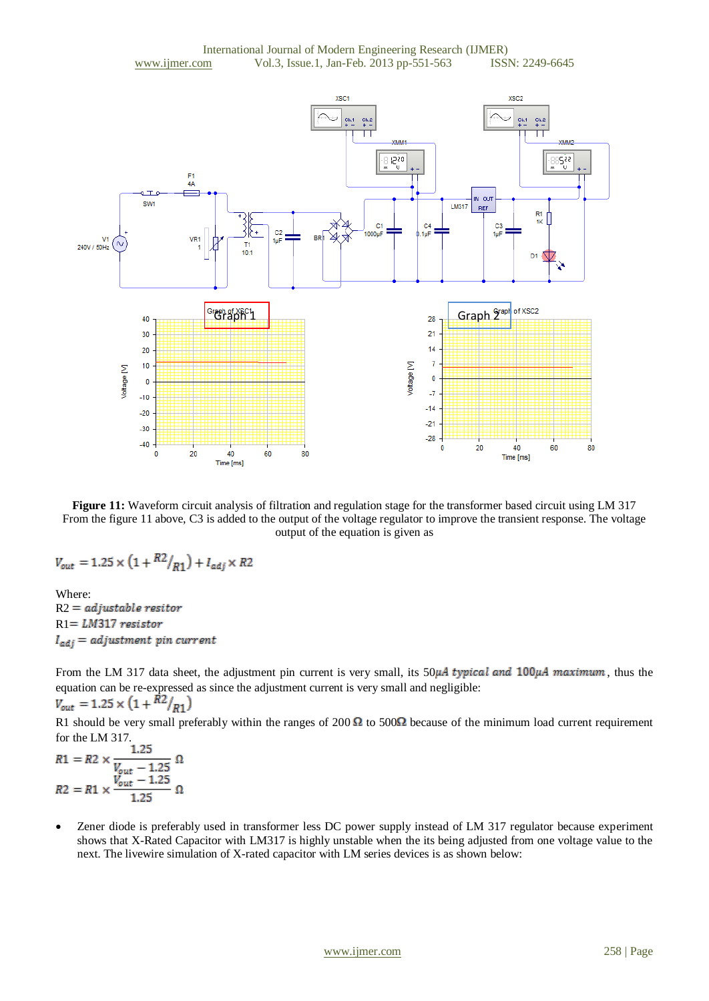

**Figure 11:** Waveform circuit analysis of filtration and regulation stage for the transformer based circuit using LM 317 From the figure 11 above, C3 is added to the output of the voltage regulator to improve the transient response. The voltage output of the equation is given as

$$
V_{out} = 1.25 \times \left(1 + \frac{R2}{R1}\right) + I_{adj} \times R2
$$

Where:  $R2 = \textit{adjusted resistor}$  $R1 = LM317$  resistor  $I_{adj} = adjustment$  pin current

From the LM 317 data sheet, the adjustment pin current is very small, its  $50\mu A$  typical and  $100\mu A$  maximum, thus the equation can be re-expressed as since the adjustment current is very small and negligible:<br> $V_{out} = 1.25 \times (1 + \frac{R2}{R1})$ 

R1 should be very small preferably within the ranges of 200  $\Omega$  to 500 $\Omega$  because of the minimum load current requirement for the LM 317.<br>1.25

R1 = R2 ×  $\frac{V_{out} - 1.25}{V_{out} - 1.25}$  Ω<br>
R2 = R1 ×  $\frac{V_{out} - 1.25}{1.25}$  Ω

 Zener diode is preferably used in transformer less DC power supply instead of LM 317 regulator because experiment shows that X-Rated Capacitor with LM317 is highly unstable when the its being adjusted from one voltage value to the next. The livewire simulation of X-rated capacitor with LM series devices is as shown below: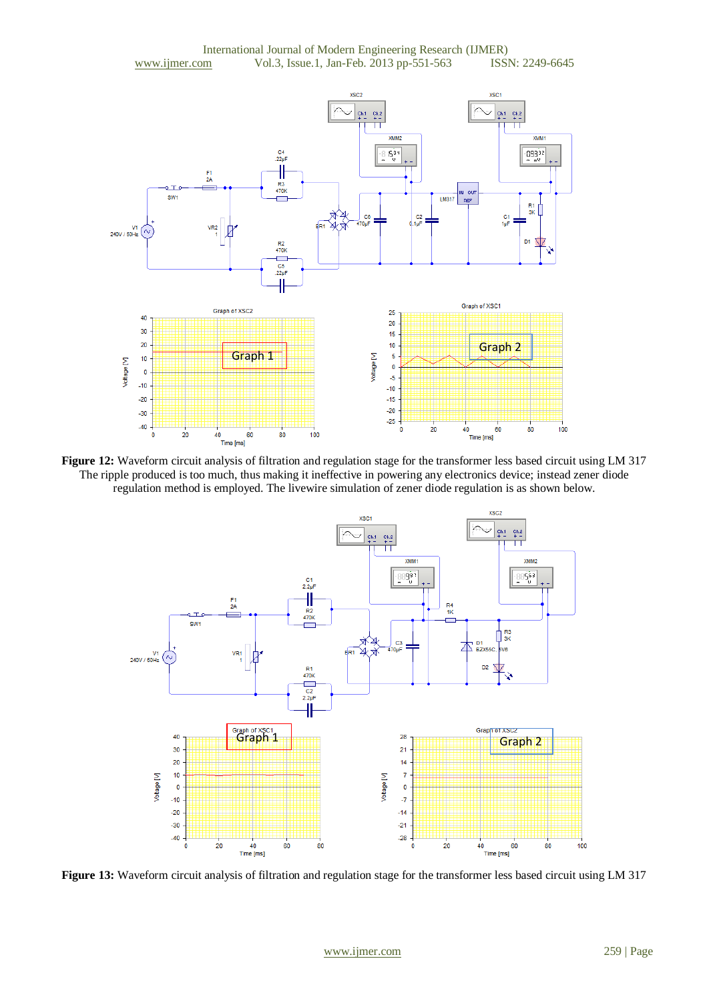

**Figure 12:** Waveform circuit analysis of filtration and regulation stage for the transformer less based circuit using LM 317 The ripple produced is too much, thus making it ineffective in powering any electronics device; instead zener diode regulation method is employed. The livewire simulation of zener diode regulation is as shown below.



**Figure 13:** Waveform circuit analysis of filtration and regulation stage for the transformer less based circuit using LM 317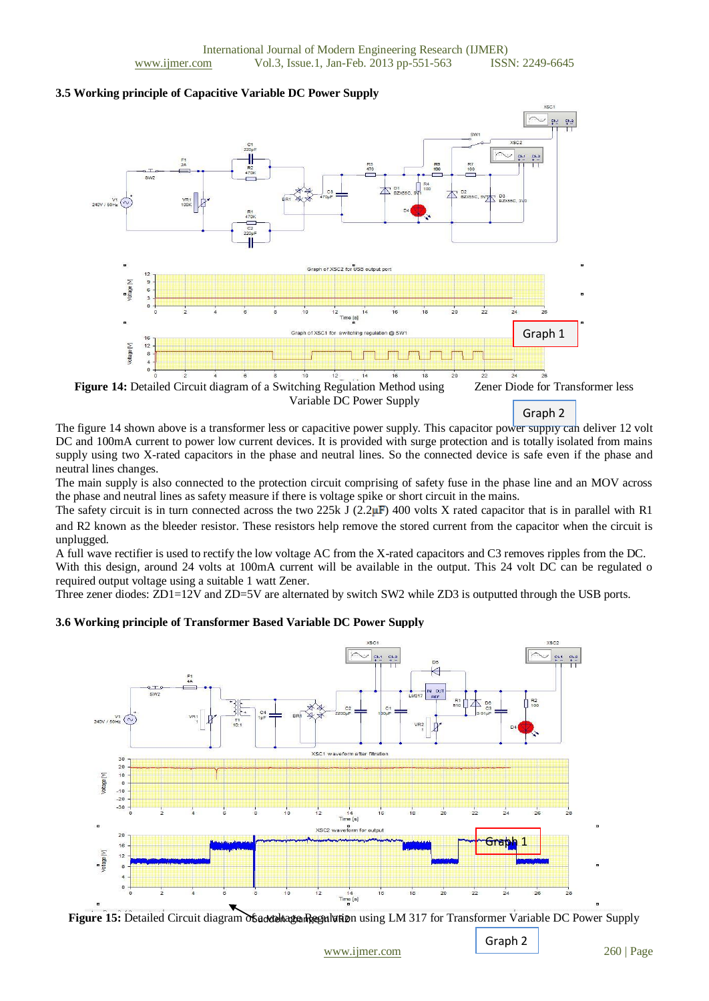#### **3.5 Working principle of Capacitive Variable DC Power Supply**



Graph 2

The figure 14 shown above is a transformer less or capacitive power supply. This capacitor power supply can deliver 12 volt DC and 100mA current to power low current devices. It is provided with surge protection and is totally isolated from mains supply using two X-rated [capacitors](http://www.engineersgarage.com/tutorials/capacitors-introduction-types-applications) in the phase and neutral lines. So the connected device is safe even if the phase and neutral lines changes.

The main supply is also connected to the protection circuit comprising of safety fuse in the phase line and an MOV across the phase and neutral lines as safety measure if there is voltage spike or short circuit in the mains.

The safety circuit is in turn connected across the two 225k J (2.2 $\mu$ F) 400 volts X rated capacitor that is in parallel with R1 and R2 known as the bleeder resistor. These resistors help remove the stored current from the capacitor when the circuit is unplugged.

A full wave rectifier is used to rectify the low voltage AC from the X-rated capacitors and C3 removes ripples from the DC. With this design, around 24 volts at 100mA current will be available in the output. This 24 volt DC can be regulated o required output voltage using a suitable 1 watt Zener.

Three zener diodes: ZD1=12V and ZD=5V are alternated by switch SW2 while ZD3 is outputted through the USB ports.

### **3.6 Working principle of Transformer Based Variable DC Power Supply**





Graph 2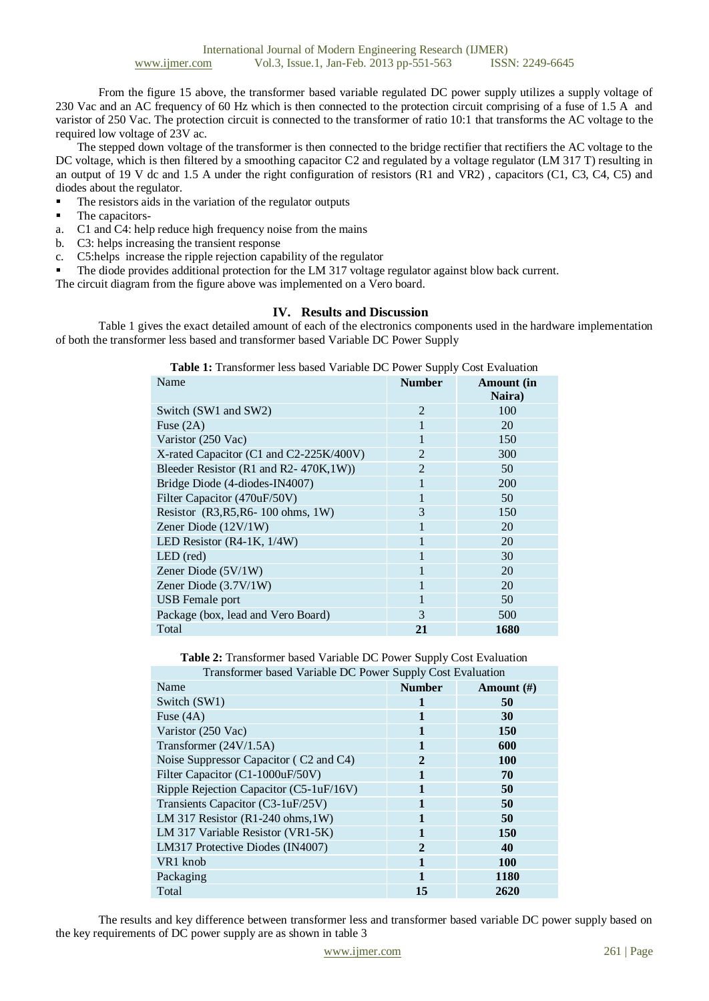From the figure 15 above, the transformer based variable regulated DC power supply utilizes a supply voltage of 230 Vac and an AC frequency of 60 Hz which is then connected to the protection circuit comprising of a fuse of 1.5 A and varistor of 250 Vac. The protection circuit is connected to the transformer of ratio 10:1 that transforms the AC voltage to the required low voltage of 23V ac.

The stepped down voltage of the transformer is then connected to the bridge rectifier that rectifiers the AC voltage to the DC voltage, which is then filtered by a smoothing capacitor C2 and regulated by a voltage regulator (LM 317 T) resulting in an output of 19 V dc and 1.5 A under the right configuration of resistors (R1 and VR2) , capacitors (C1, C3, C4, C5) and diodes about the regulator.

- The resistors aids in the variation of the regulator outputs
- The capacitors-
- a. C1 and C4: help reduce high frequency noise from the mains
- b. C3: helps increasing the transient response
- c. C5:helps increase the ripple rejection capability of the regulator
- The diode provides additional protection for the LM 317 voltage regulator against blow back current.

The circuit diagram from the figure above was implemented on a Vero board.

#### **IV. Results and Discussion**

Table 1 gives the exact detailed amount of each of the electronics components used in the hardware implementation of both the transformer less based and transformer based Variable DC Power Supply

**Table 1:** Transformer less based Variable DC Power Supply Cost Evaluation

| Name                                    | <b>Number</b>  | <b>Amount</b> (in<br>Naira) |
|-----------------------------------------|----------------|-----------------------------|
| Switch (SW1 and SW2)                    | $\overline{2}$ | 100                         |
| Fuse $(2A)$                             | 1              | 20                          |
| Varistor (250 Vac)                      | 1              | 150                         |
| X-rated Capacitor (C1 and C2-225K/400V) | $\overline{2}$ | 300                         |
| Bleeder Resistor (R1 and R2-470K,1W))   | $\overline{2}$ | 50                          |
| Bridge Diode (4-diodes-IN4007)          | 1              | 200                         |
| Filter Capacitor (470uF/50V)            | 1              | 50                          |
| Resistor (R3, R5, R6-100 ohms, 1W)      | 3              | 150                         |
| Zener Diode $(12V/1W)$                  | 1              | 20                          |
| LED Resistor (R4-1K, 1/4W)              |                | 20                          |
| LED (red)                               | 1              | 30                          |
| Zener Diode (5V/1W)                     | 1              | 20                          |
| Zener Diode (3.7V/1W)                   | 1              | 20                          |
| USB Female port                         | 1              | 50                          |
| Package (box, lead and Vero Board)      | 3              | 500                         |
| Total                                   | 21             | 1680                        |

**Table 2:** Transformer based Variable DC Power Supply Cost Evaluation Transformer based Variable DC Power Supply Cost Evaluation

| $11$ and of the case $\alpha$ and $\alpha$ is $\alpha$ of $\alpha$ is $\alpha$ of $\beta$ of $\alpha$ and $\alpha$ and $\alpha$ in $\alpha$ |                |               |  |  |  |
|---------------------------------------------------------------------------------------------------------------------------------------------|----------------|---------------|--|--|--|
| Name                                                                                                                                        | <b>Number</b>  | Amount $(\#)$ |  |  |  |
| Switch (SW1)                                                                                                                                |                | 50            |  |  |  |
| Fuse $(4A)$                                                                                                                                 | 1              | 30            |  |  |  |
| Varistor (250 Vac)                                                                                                                          | 1              | 150           |  |  |  |
| Transformer (24V/1.5A)                                                                                                                      | 1              | 600           |  |  |  |
| Noise Suppressor Capacitor (C2 and C4)                                                                                                      | $\overline{2}$ | <b>100</b>    |  |  |  |
| Filter Capacitor (C1-1000uF/50V)                                                                                                            | 1              | 70            |  |  |  |
| Ripple Rejection Capacitor (C5-1uF/16V)                                                                                                     | 1              | 50            |  |  |  |
| Transients Capacitor (C3-1uF/25V)                                                                                                           | 1              | 50            |  |  |  |
| LM 317 Resistor $(R1-240 \text{ ohms}, 1W)$                                                                                                 | 1              | 50            |  |  |  |
| LM 317 Variable Resistor (VR1-5K)                                                                                                           | 1              | 150           |  |  |  |
| LM317 Protective Diodes (IN4007)                                                                                                            | $\overline{2}$ | 40            |  |  |  |
| VR1 knob                                                                                                                                    | $\mathbf{1}$   | 100           |  |  |  |
| Packaging                                                                                                                                   | 1              | 1180          |  |  |  |
| Total                                                                                                                                       | 15             | 2620          |  |  |  |

The results and key difference between transformer less and transformer based variable DC power supply based on the key requirements of DC power supply are as shown in table 3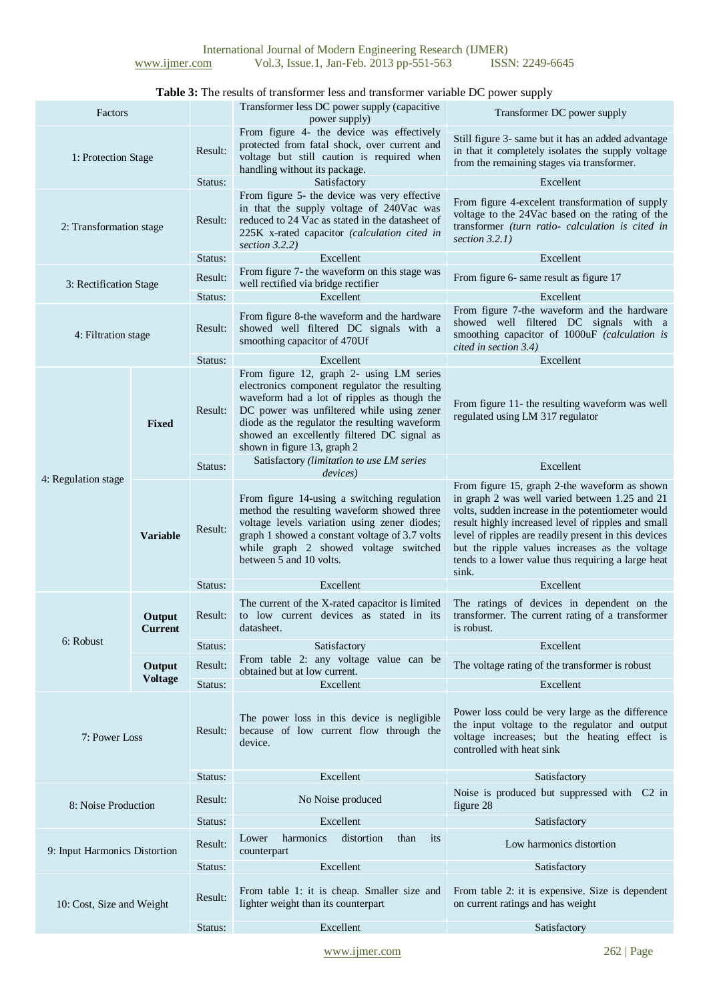## **Table 3:** The results of transformer less and transformer variable DC power supply

| Factors                       |                            |         | Transformer less DC power supply (capacitive<br>power supply)                                                                                                                                                                                                                                                        | Transformer DC power supply                                                                                                                                                                                                                                                                                                                                                         |
|-------------------------------|----------------------------|---------|----------------------------------------------------------------------------------------------------------------------------------------------------------------------------------------------------------------------------------------------------------------------------------------------------------------------|-------------------------------------------------------------------------------------------------------------------------------------------------------------------------------------------------------------------------------------------------------------------------------------------------------------------------------------------------------------------------------------|
| 1: Protection Stage           |                            | Result: | From figure 4- the device was effectively<br>protected from fatal shock, over current and<br>voltage but still caution is required when<br>handling without its package.                                                                                                                                             | Still figure 3- same but it has an added advantage<br>in that it completely isolates the supply voltage<br>from the remaining stages via transformer.                                                                                                                                                                                                                               |
|                               |                            | Status: | Satisfactory                                                                                                                                                                                                                                                                                                         | Excellent                                                                                                                                                                                                                                                                                                                                                                           |
| 2: Transformation stage       |                            | Result: | From figure 5- the device was very effective<br>in that the supply voltage of 240Vac was<br>reduced to 24 Vac as stated in the datasheet of<br>225K x-rated capacitor (calculation cited in<br>section $3.2.2$ )                                                                                                     | From figure 4-excelent transformation of supply<br>voltage to the 24Vac based on the rating of the<br>transformer (turn ratio- calculation is cited in<br>section $3.2.1$ )                                                                                                                                                                                                         |
|                               |                            | Status: | Excellent                                                                                                                                                                                                                                                                                                            | Excellent                                                                                                                                                                                                                                                                                                                                                                           |
| 3: Rectification Stage        |                            | Result: | From figure 7- the waveform on this stage was<br>well rectified via bridge rectifier                                                                                                                                                                                                                                 | From figure 6- same result as figure 17                                                                                                                                                                                                                                                                                                                                             |
|                               |                            | Status: | Excellent                                                                                                                                                                                                                                                                                                            | Excellent                                                                                                                                                                                                                                                                                                                                                                           |
| 4: Filtration stage           |                            | Result: | From figure 8-the waveform and the hardware<br>showed well filtered DC signals with a<br>smoothing capacitor of 470Uf                                                                                                                                                                                                | From figure 7-the waveform and the hardware<br>showed well filtered DC signals with a<br>smoothing capacitor of 1000uF (calculation is<br>cited in section 3.4)                                                                                                                                                                                                                     |
|                               |                            | Status: | Excellent                                                                                                                                                                                                                                                                                                            | Excellent                                                                                                                                                                                                                                                                                                                                                                           |
| 4: Regulation stage           | <b>Fixed</b>               | Result: | From figure 12, graph 2- using LM series<br>electronics component regulator the resulting<br>waveform had a lot of ripples as though the<br>DC power was unfiltered while using zener<br>diode as the regulator the resulting waveform<br>showed an excellently filtered DC signal as<br>shown in figure 13, graph 2 | From figure 11- the resulting waveform was well<br>regulated using LM 317 regulator                                                                                                                                                                                                                                                                                                 |
|                               |                            | Status: | Satisfactory (limitation to use LM series<br><i>devices</i> )                                                                                                                                                                                                                                                        | Excellent                                                                                                                                                                                                                                                                                                                                                                           |
|                               | Result:<br><b>Variable</b> |         | From figure 14-using a switching regulation<br>method the resulting waveform showed three<br>voltage levels variation using zener diodes;<br>graph 1 showed a constant voltage of 3.7 volts<br>while graph 2 showed voltage switched<br>between 5 and 10 volts.                                                      | From figure 15, graph 2-the waveform as shown<br>in graph 2 was well varied between 1.25 and 21<br>volts, sudden increase in the potentiometer would<br>result highly increased level of ripples and small<br>level of ripples are readily present in this devices<br>but the ripple values increases as the voltage<br>tends to a lower value thus requiring a large heat<br>sink. |
|                               |                            | Status: | Excellent                                                                                                                                                                                                                                                                                                            | Excellent                                                                                                                                                                                                                                                                                                                                                                           |
|                               | Output<br><b>Current</b>   | Result: | The current of the X-rated capacitor is limited<br>to low current devices as stated in its<br>datasheet.                                                                                                                                                                                                             | The ratings of devices in dependent on the<br>transformer. The current rating of a transformer<br>is robust.                                                                                                                                                                                                                                                                        |
| 6: Robust                     |                            | Status: | Satisfactory                                                                                                                                                                                                                                                                                                         | Excellent                                                                                                                                                                                                                                                                                                                                                                           |
|                               | Output                     | Result: | From table 2: any voltage value can be<br>obtained but at low current.                                                                                                                                                                                                                                               | The voltage rating of the transformer is robust                                                                                                                                                                                                                                                                                                                                     |
|                               | <b>Voltage</b>             | Status: | Excellent                                                                                                                                                                                                                                                                                                            | Excellent                                                                                                                                                                                                                                                                                                                                                                           |
| 7: Power Loss                 |                            | Result: | The power loss in this device is negligible<br>because of low current flow through the<br>device.                                                                                                                                                                                                                    | Power loss could be very large as the difference<br>the input voltage to the regulator and output<br>voltage increases; but the heating effect is<br>controlled with heat sink                                                                                                                                                                                                      |
|                               |                            | Status: | Excellent                                                                                                                                                                                                                                                                                                            | Satisfactory                                                                                                                                                                                                                                                                                                                                                                        |
| 8: Noise Production           |                            | Result: | No Noise produced                                                                                                                                                                                                                                                                                                    | Noise is produced but suppressed with C2 in<br>figure 28                                                                                                                                                                                                                                                                                                                            |
|                               |                            | Status: | Excellent                                                                                                                                                                                                                                                                                                            | Satisfactory                                                                                                                                                                                                                                                                                                                                                                        |
| 9: Input Harmonics Distortion |                            | Result: | harmonics<br>distortion<br>than<br>Lower<br>its<br>counterpart                                                                                                                                                                                                                                                       | Low harmonics distortion                                                                                                                                                                                                                                                                                                                                                            |
|                               |                            | Status: | Excellent                                                                                                                                                                                                                                                                                                            | Satisfactory                                                                                                                                                                                                                                                                                                                                                                        |
| 10: Cost, Size and Weight     |                            | Result: | From table 1: it is cheap. Smaller size and<br>lighter weight than its counterpart                                                                                                                                                                                                                                   | From table 2: it is expensive. Size is dependent<br>on current ratings and has weight                                                                                                                                                                                                                                                                                               |
|                               |                            | Status: | Excellent                                                                                                                                                                                                                                                                                                            | Satisfactory                                                                                                                                                                                                                                                                                                                                                                        |